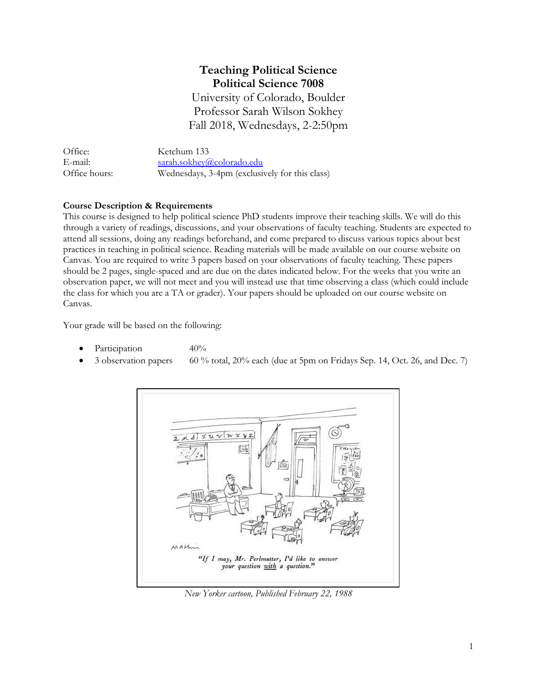# **Teaching Political Science Political Science 7008**

University of Colorado, Boulder Professor Sarah Wilson Sokhey Fall 2018, Wednesdays, 2-2:50pm

| Office:       | Ketchum 133                                    |
|---------------|------------------------------------------------|
| E-mail:       | sarah.sokhey@colorado.edu                      |
| Office hours: | Wednesdays, 3-4pm (exclusively for this class) |

# **Course Description & Requirements**

This course is designed to help political science PhD students improve their teaching skills. We will do this through a variety of readings, discussions, and your observations of faculty teaching. Students are expected to attend all sessions, doing any readings beforehand, and come prepared to discuss various topics about best practices in teaching in political science. Reading materials will be made available on our course website on Canvas. You are required to write 3 papers based on your observations of faculty teaching. These papers should be 2 pages, single-spaced and are due on the dates indicated below. For the weeks that you write an observation paper, we will not meet and you will instead use that time observing a class (which could include the class for which you are a TA or grader). Your papers should be uploaded on our course website on Canvas.

Your grade will be based on the following:

- Participation 40%
- 3 observation papers 60 % total, 20% each (due at 5pm on Fridays Sep. 14, Oct. 26, and Dec. 7)



*New Yorker cartoon, Published February 22, 1988*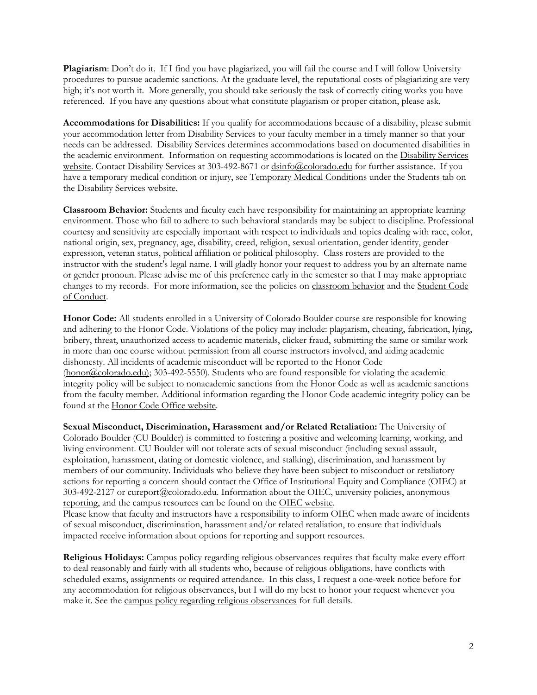**Plagiarism**: Don't do it. If I find you have plagiarized, you will fail the course and I will follow University procedures to pursue academic sanctions. At the graduate level, the reputational costs of plagiarizing are very high; it's not worth it. More generally, you should take seriously the task of correctly citing works you have referenced. If you have any questions about what constitute plagiarism or proper citation, please ask.

**Accommodations for Disabilities:** If you qualify for accommodations because of a disability, please submit your accommodation letter from Disability Services to your faculty member in a timely manner so that your needs can be addressed. Disability Services determines accommodations based on documented disabilities in the academic environment. Information on requesting accommodations is located on the [Disability Services](http://www.colorado.edu/disabilityservices/students)  [website.](http://www.colorado.edu/disabilityservices/students) Contact Disability Services at 303-492-8671 or [dsinfo@colorado.edu](mailto:dsinfo@colorado.edu) for further assistance. If you have a temporary medical condition or injury, se[e Temporary Medical Conditions](http://www.colorado.edu/disabilityservices/students/temporary-medical-conditions) under the Students tab on the Disability Services website.

**Classroom Behavior:** Students and faculty each have responsibility for maintaining an appropriate learning environment. Those who fail to adhere to such behavioral standards may be subject to discipline. Professional courtesy and sensitivity are especially important with respect to individuals and topics dealing with race, color, national origin, sex, pregnancy, age, disability, creed, religion, sexual orientation, gender identity, gender expression, veteran status, political affiliation or political philosophy. Class rosters are provided to the instructor with the student's legal name. I will gladly honor your request to address you by an alternate name or gender pronoun. Please advise me of this preference early in the semester so that I may make appropriate changes to my records. For more information, see the policies on [classroom behavior](http://www.colorado.edu/policies/student-classroom-and-course-related-behavior) and th[e Student Code](http://www.colorado.edu/osccr/)  [of Conduct.](http://www.colorado.edu/osccr/)

**Honor Code:** All students enrolled in a University of Colorado Boulder course are responsible for knowing and adhering to the Honor Code. Violations of the policy may include: plagiarism, cheating, fabrication, lying, bribery, threat, unauthorized access to academic materials, clicker fraud, submitting the same or similar work in more than one course without permission from all course instructors involved, and aiding academic dishonesty. All incidents of academic misconduct will be reported to the Honor Code [\(honor@colorado.edu\)](mailto:honor@colorado.edu); 303-492-5550). Students who are found responsible for violating the academic integrity policy will be subject to nonacademic sanctions from the Honor Code as well as academic sanctions from the faculty member. Additional information regarding the Honor Code academic integrity policy can be found at the [Honor Code Office website.](https://www.colorado.edu/osccr/honor-code)

**Sexual Misconduct, Discrimination, Harassment and/or Related Retaliation:** The University of Colorado Boulder (CU Boulder) is committed to fostering a positive and welcoming learning, working, and living environment. CU Boulder will not tolerate acts of sexual misconduct (including sexual assault, exploitation, harassment, dating or domestic violence, and stalking), discrimination, and harassment by members of our community. Individuals who believe they have been subject to misconduct or retaliatory actions for reporting a concern should contact the Office of Institutional Equity and Compliance (OIEC) at 303-492-2127 or cureport@colorado.edu. Information about the OIEC, university policies, [anonymous](https://cuboulder.qualtrics.com/jfe/form/SV_0PnqVK4kkIJIZnf)  [reporting,](https://cuboulder.qualtrics.com/jfe/form/SV_0PnqVK4kkIJIZnf) and the campus resources can be found on the [OIEC website.](http://www.colorado.edu/institutionalequity/)

Please know that faculty and instructors have a responsibility to inform OIEC when made aware of incidents of sexual misconduct, discrimination, harassment and/or related retaliation, to ensure that individuals impacted receive information about options for reporting and support resources.

**Religious Holidays:** Campus policy regarding religious observances requires that faculty make every effort to deal reasonably and fairly with all students who, because of religious obligations, have conflicts with scheduled exams, assignments or required attendance. In this class, I request a one-week notice before for any accommodation for religious observances, but I will do my best to honor your request whenever you make it. See the [campus policy regarding religious observances](http://www.colorado.edu/policies/observance-religious-holidays-and-absences-classes-andor-exams) for full details.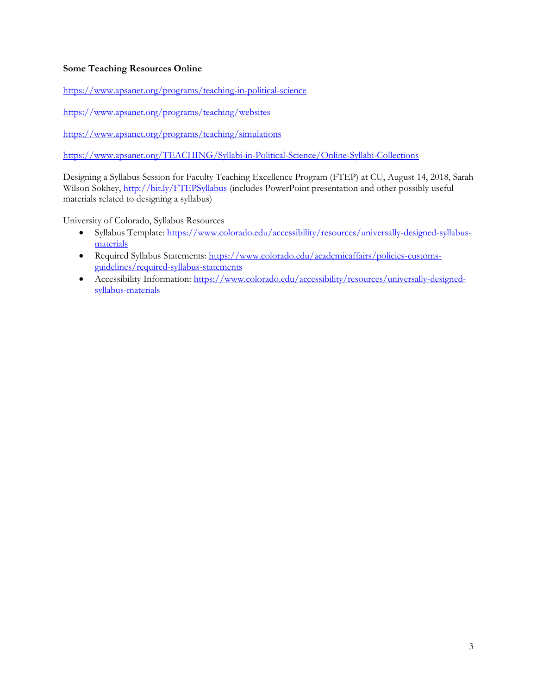# **Some Teaching Resources Online**

<https://www.apsanet.org/programs/teaching-in-political-science>

<https://www.apsanet.org/programs/teaching/websites>

<https://www.apsanet.org/programs/teaching/simulations>

<https://www.apsanet.org/TEACHING/Syllabi-in-Political-Science/Online-Syllabi-Collections>

Designing a Syllabus Session for Faculty Teaching Excellence Program (FTEP) at CU, August 14, 2018, Sarah Wilson Sokhey[, http://bit.ly/FTEPSyllabus](http://bit.ly/FTEPSyllabus) (includes PowerPoint presentation and other possibly useful materials related to designing a syllabus)

University of Colorado, Syllabus Resources

- Syllabus Template: [https://www.colorado.edu/accessibility/resources/universally-designed-syllabus](https://www.colorado.edu/accessibility/resources/universally-designed-syllabus-materials)[materials](https://www.colorado.edu/accessibility/resources/universally-designed-syllabus-materials)
- Required Syllabus Statements: [https://www.colorado.edu/academicaffairs/policies-customs](https://www.colorado.edu/academicaffairs/policies-customs-guidelines/required-syllabus-statements)[guidelines/required-syllabus-statements](https://www.colorado.edu/academicaffairs/policies-customs-guidelines/required-syllabus-statements)
- Accessibility Information: [https://www.colorado.edu/accessibility/resources/universally-designed](https://www.colorado.edu/accessibility/resources/universally-designed-syllabus-materials)[syllabus-materials](https://www.colorado.edu/accessibility/resources/universally-designed-syllabus-materials)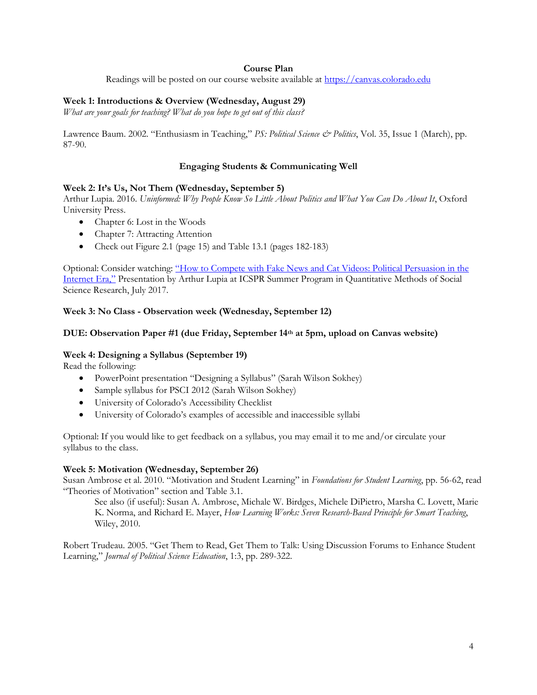# **Course Plan**

Readings will be posted on our course website available at [https://canvas.colorado.edu](https://canvas.colorado.edu/)

# **Week 1: Introductions & Overview (Wednesday, August 29)**

*What are your goals for teaching? What do you hope to get out of this class?*

Lawrence Baum. 2002. "Enthusiasm in Teaching," *PS: Political Science & Politics*, Vol. 35, Issue 1 (March), pp. 87-90.

## **Engaging Students & Communicating Well**

## **Week 2: It's Us, Not Them (Wednesday, September 5)**

Arthur Lupia. 2016. *Uninformed: Why People Know So Little About Politics and What You Can Do About It*, Oxford University Press.

- Chapter 6: Lost in the Woods
- Chapter 7: Attracting Attention
- Check out Figure 2.1 (page 15) and Table 13.1 (pages 182-183)

Optional: Consider watching: "How to Compete [with Fake News and Cat Videos: Political Persuasion in the](https://www.youtube.com/watch?v=UEwYtLksa_U)  [Internet Era,"](https://www.youtube.com/watch?v=UEwYtLksa_U) Presentation by Arthur Lupia at ICSPR Summer Program in Quantitative Methods of Social Science Research, July 2017.

## **Week 3: No Class - Observation week (Wednesday, September 12)**

## **DUE: Observation Paper #1 (due Friday, September 14th at 5pm, upload on Canvas website)**

#### **Week 4: Designing a Syllabus (September 19)**

Read the following:

- PowerPoint presentation "Designing a Syllabus" (Sarah Wilson Sokhey)
- Sample syllabus for PSCI 2012 (Sarah Wilson Sokhey)
- University of Colorado's Accessibility Checklist
- University of Colorado's examples of accessible and inaccessible syllabi

Optional: If you would like to get feedback on a syllabus, you may email it to me and/or circulate your syllabus to the class.

#### **Week 5: Motivation (Wednesday, September 26)**

Susan Ambrose et al. 2010. "Motivation and Student Learning" in *Foundations for Student Learning*, pp. 56-62, read "Theories of Motivation" section and Table 3.1.

See also (if useful): Susan A. Ambrose, Michale W. Birdges, Michele DiPietro, Marsha C. Lovett, Marie K. Norma, and Richard E. Mayer, *How Learning Works: Seven Research-Based Principle for Smart Teaching*, Wiley, 2010.

Robert Trudeau. 2005. "Get Them to Read, Get Them to Talk: Using Discussion Forums to Enhance Student Learning," *Journal of Political Science Education*, 1:3, pp. 289-322.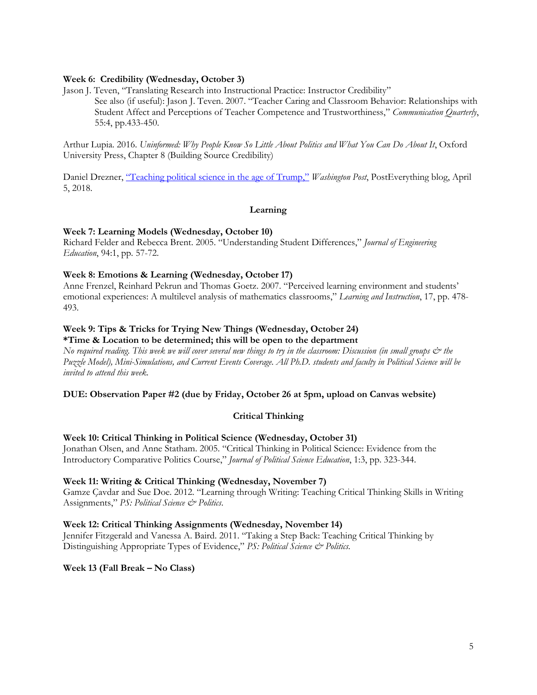# **Week 6: Credibility (Wednesday, October 3)**

Jason J. Teven, "Translating Research into Instructional Practice: Instructor Credibility"

See also (if useful): Jason J. Teven. 2007. "Teacher Caring and Classroom Behavior: Relationships with Student Affect and Perceptions of Teacher Competence and Trustworthiness," *Communication Quarterly*, 55:4, pp.433-450.

Arthur Lupia. 2016. *Uninformed: Why People Know So Little About Politics and What You Can Do About It*, Oxford University Press, Chapter 8 (Building Source Credibility)

Daniel Drezner, ["Teaching political science in the age of Trump,"](https://www.washingtonpost.com/news/posteverything/wp/2018/04/05/teaching-political-science-in-the-age-of-trump/?noredirect=on&utm_term=.c1fb8cd4cb2c) *Washington Post*, PostEverything blog, April 5, 2018.

#### **Learning**

#### **Week 7: Learning Models (Wednesday, October 10)**

Richard Felder and Rebecca Brent. 2005. "Understanding Student Differences," *Journal of Engineering Education*, 94:1, pp. 57-72.

#### **Week 8: Emotions & Learning (Wednesday, October 17)**

Anne Frenzel, Reinhard Pekrun and Thomas Goetz. 2007. "Perceived learning environment and students' emotional experiences: A multilevel analysis of mathematics classrooms," *Learning and Instruction*, 17, pp. 478- 493.

#### **Week 9: Tips & Tricks for Trying New Things (Wednesday, October 24) \*Time & Location to be determined; this will be open to the department**

*No required reading. This week we will cover several new things to try in the classroom: Discussion (in small groups & the Puzzle Model), Mini-Simulations, and Current Events Coverage. All Ph.D. students and faculty in Political Science will be invited to attend this week.* 

#### **DUE: Observation Paper #2 (due by Friday, October 26 at 5pm, upload on Canvas website)**

#### **Critical Thinking**

#### **Week 10: Critical Thinking in Political Science (Wednesday, October 31)**

Jonathan Olsen, and Anne Statham. 2005. "Critical Thinking in Political Science: Evidence from the Introductory Comparative Politics Course," *Journal of Political Science Education*, 1:3, pp. 323-344.

#### **Week 11: Writing & Critical Thinking (Wednesday, November 7)**

Gamze Çavdar and Sue Doe. 2012. "Learning through Writing: Teaching Critical Thinking Skills in Writing Assignments," *PS: Political Science & Politics*.

#### **Week 12: Critical Thinking Assignments (Wednesday, November 14)**

Jennifer Fitzgerald and Vanessa A. Baird. 2011. "Taking a Step Back: Teaching Critical Thinking by Distinguishing Appropriate Types of Evidence," *PS: Political Science & Politics.*

#### **Week 13 (Fall Break – No Class)**